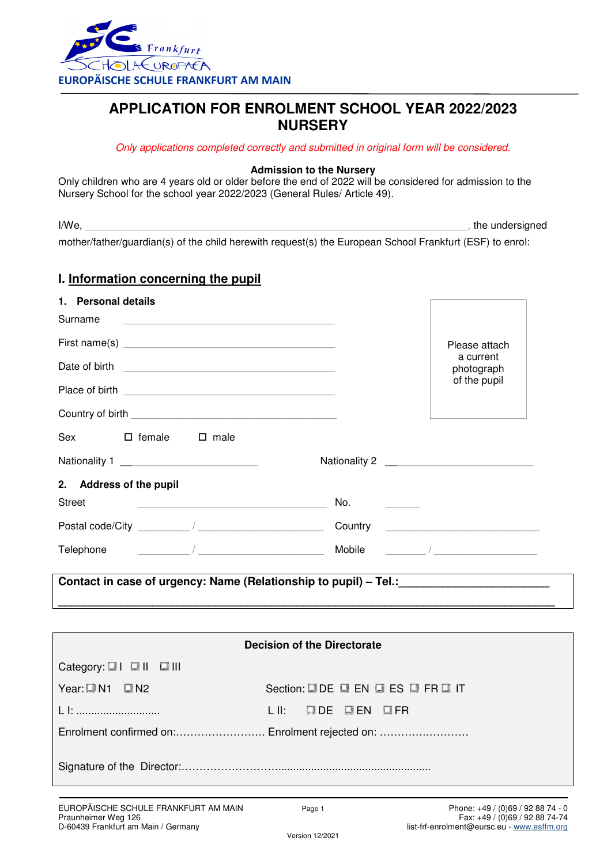

# **APPLICATION FOR ENROLMENT SCHOOL YEAR 2022/2023 NURSERY**

#### Only applications completed correctly and submitted in original form will be considered.

#### **Admission to the Nursery**

Only children who are 4 years old or older before the end of 2022 will be considered for admission to the Nursery School for the school year 2022/2023 (General Rules/ Article 49).

I/We, mother/father/guardian(s) of the child herewith request(s) the European School Frankfurt (ESF) to enrol:

# **I. Information concerning the pupil**

| 1. Personal details<br>Surname<br>the control of the control of the control of the control of the control of the control of                                                                                                          |                                                                                                                                                                                                                                |
|--------------------------------------------------------------------------------------------------------------------------------------------------------------------------------------------------------------------------------------|--------------------------------------------------------------------------------------------------------------------------------------------------------------------------------------------------------------------------------|
| First name(s) example a series of the series of the series of the series of the series of the series of the series of the series of the series of the series of the series of the series of the series of the series of the se       | Please attach<br>a current                                                                                                                                                                                                     |
| Date of birth <b>contained</b> and the birth and the birth of the birth of the birth of the birth of the birth of the birth of the birth of the birth of the birth of the birth of the birth of the birth of the birth of the birth  | photograph                                                                                                                                                                                                                     |
|                                                                                                                                                                                                                                      | of the pupil                                                                                                                                                                                                                   |
|                                                                                                                                                                                                                                      |                                                                                                                                                                                                                                |
| $\square$ female $\square$ male<br>Sex                                                                                                                                                                                               |                                                                                                                                                                                                                                |
| Nationality 1                                                                                                                                                                                                                        |                                                                                                                                                                                                                                |
| 2. Address of the pupil                                                                                                                                                                                                              |                                                                                                                                                                                                                                |
| <b>Street</b>                                                                                                                                                                                                                        | No.                                                                                                                                                                                                                            |
| Postal code/City <u>and the set of the set of the set of the set of the set of the set of the set of the set of the set of the set of the set of the set of the set of the set of the set of the set of the set of the set of th</u> | Country Country Countries and the country of the countries of the countries of the countries of the countries of the countries of the countries of the countries of the countries of the countries of the countries of the cou |
| $\frac{1}{2}$<br>Telephone                                                                                                                                                                                                           |                                                                                                                                                                                                                                |
|                                                                                                                                                                                                                                      | Contact in case of urgency: Name (Relationship to pupil) - Tel.: ________________                                                                                                                                              |
|                                                                                                                                                                                                                                      |                                                                                                                                                                                                                                |
|                                                                                                                                                                                                                                      |                                                                                                                                                                                                                                |
|                                                                                                                                                                                                                                      | <b>Decision of the Directorate</b>                                                                                                                                                                                             |
| Category: I   II   III                                                                                                                                                                                                               |                                                                                                                                                                                                                                |
| Year: UN1 UN2                                                                                                                                                                                                                        | Section: DDE DEN DES DER DIT                                                                                                                                                                                                   |
| L I:                                                                                                                                                                                                                                 | LII: QUDE QUEN QUER                                                                                                                                                                                                            |
| Enrolment confirmed on: Enrolment rejected on:                                                                                                                                                                                       |                                                                                                                                                                                                                                |
|                                                                                                                                                                                                                                      |                                                                                                                                                                                                                                |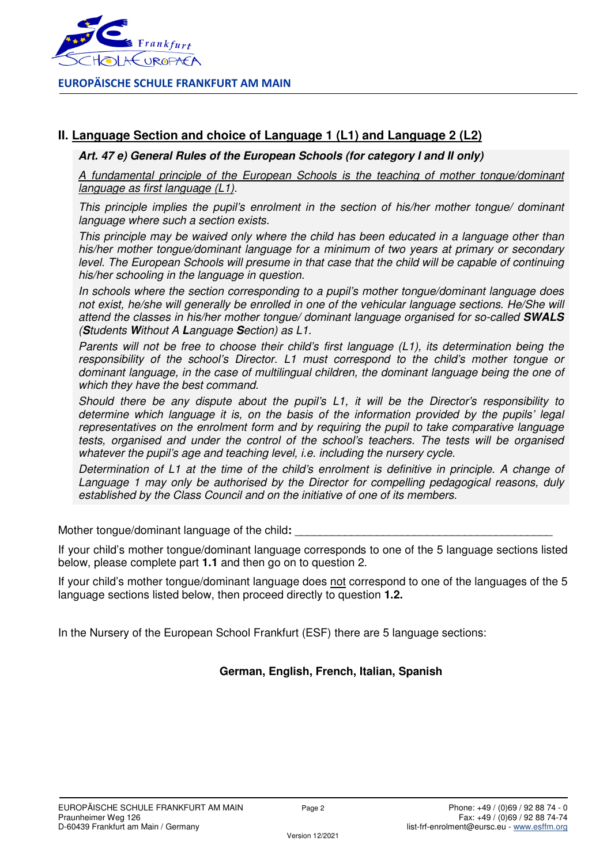

# **II. Language Section and choice of Language 1 (L1) and Language 2 (L2)**

**Art. 47 e) General Rules of the European Schools (for category I and II only)** 

A fundamental principle of the European Schools is the teaching of mother tongue/dominant language as first language (L1).

This principle implies the pupil's enrolment in the section of his/her mother tongue/ dominant language where such a section exists.

This principle may be waived only where the child has been educated in a language other than his/her mother tongue/dominant language for a minimum of two years at primary or secondary level. The European Schools will presume in that case that the child will be capable of continuing his/her schooling in the language in question.

In schools where the section corresponding to a pupil's mother tongue/dominant language does not exist, he/she will generally be enrolled in one of the vehicular language sections. He/She will attend the classes in his/her mother tongue/ dominant language organised for so-called **SWALS** (**S**tudents **W**ithout A **L**anguage **S**ection) as L1.

Parents will not be free to choose their child's first language (L1), its determination being the responsibility of the school's Director. L1 must correspond to the child's mother tongue or dominant language, in the case of multilingual children, the dominant language being the one of which they have the best command.

Should there be any dispute about the pupil's L1, it will be the Director's responsibility to determine which language it is, on the basis of the information provided by the pupils' legal representatives on the enrolment form and by requiring the pupil to take comparative language tests, organised and under the control of the school's teachers. The tests will be organised whatever the pupil's age and teaching level, *i.e.* including the nursery cycle.

Determination of L1 at the time of the child's enrolment is definitive in principle. A change of Language 1 may only be authorised by the Director for compelling pedagogical reasons, duly established by the Class Council and on the initiative of one of its members.

Mother tongue/dominant language of the child:

If your child's mother tongue/dominant language corresponds to one of the 5 language sections listed below, please complete part **1.1** and then go on to question 2.

If your child's mother tongue/dominant language does not correspond to one of the languages of the 5 language sections listed below, then proceed directly to question **1.2.**

In the Nursery of the European School Frankfurt (ESF) there are 5 language sections:

### **German, English, French, Italian, Spanish**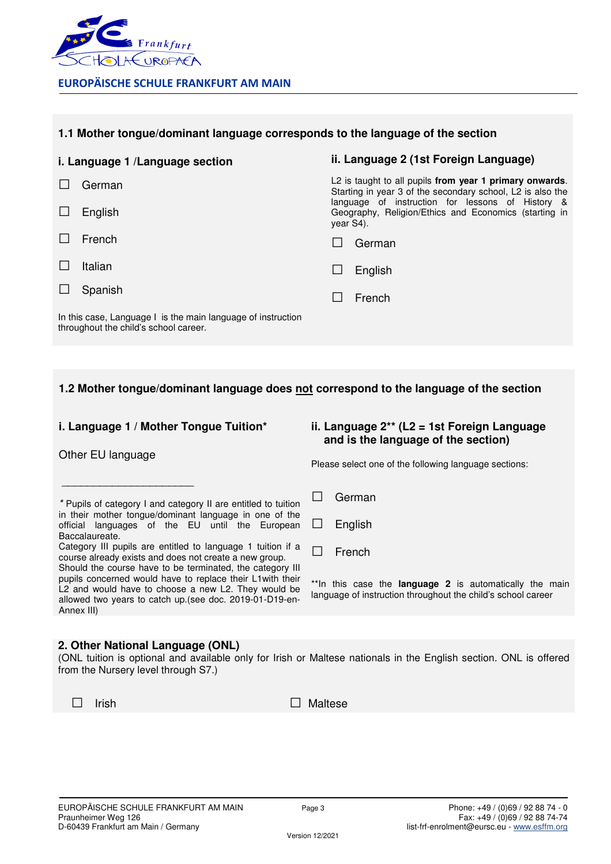

#### **1.1 Mother tongue/dominant language corresponds to the language of the section**

|        | i. Language 1/Language section                               |                                                                                                                                                                                                                                                 | ii. Language 2 (1st Foreign Language) |
|--------|--------------------------------------------------------------|-------------------------------------------------------------------------------------------------------------------------------------------------------------------------------------------------------------------------------------------------|---------------------------------------|
|        | German                                                       | L2 is taught to all pupils from year 1 primary onwards.<br>Starting in year 3 of the secondary school, L2 is also the<br>language of instruction for lessons of History &<br>Geography, Religion/Ethics and Economics (starting in<br>year S4). |                                       |
| $\Box$ | English                                                      |                                                                                                                                                                                                                                                 |                                       |
|        | French                                                       | <b>Tara</b>                                                                                                                                                                                                                                     | German                                |
|        | Italian                                                      | $\mathsf{L}$                                                                                                                                                                                                                                    | English                               |
|        | Spanish                                                      |                                                                                                                                                                                                                                                 | French                                |
|        | In this case, Language I is the main language of instruction |                                                                                                                                                                                                                                                 |                                       |

throughout the child's school career.

#### **1.2 Mother tongue/dominant language does not correspond to the language of the section**

#### **i. Language 1 / Mother Tongue Tuition\***

\* Pupils of category I and category II are entitled to tuition in their mother tongue/dominant language in one of the official languages of the EU until the European

Category III pupils are entitled to language 1 tuition if a course already exists and does not create a new group. Should the course have to be terminated, the category III pupils concerned would have to replace their L1with their L2 and would have to choose a new L2. They would be allowed two years to catch up.(see doc. 2019-01-D19-en-

#### **ii. Language 2\*\* (L2 = 1st Foreign Language and is the language of the section)**

Other EU language

Baccalaureate.

Annex III)

 $\overline{\phantom{a}}$  , which is a set of the set of the set of the set of the set of the set of the set of the set of the set of the set of the set of the set of the set of the set of the set of the set of the set of the set of th

#### Please select one of the following language sections:

| $\Box$ | German |
|--------|--------|

- □ English
- □ French

\*\*In this case the **language 2** is automatically the main language of instruction throughout the child's school career

#### **2. Other National Language (ONL)**

(ONL tuition is optional and available only for Irish or Maltese nationals in the English section. ONL is offered from the Nursery level through S7.)

□ Irish □ Maltese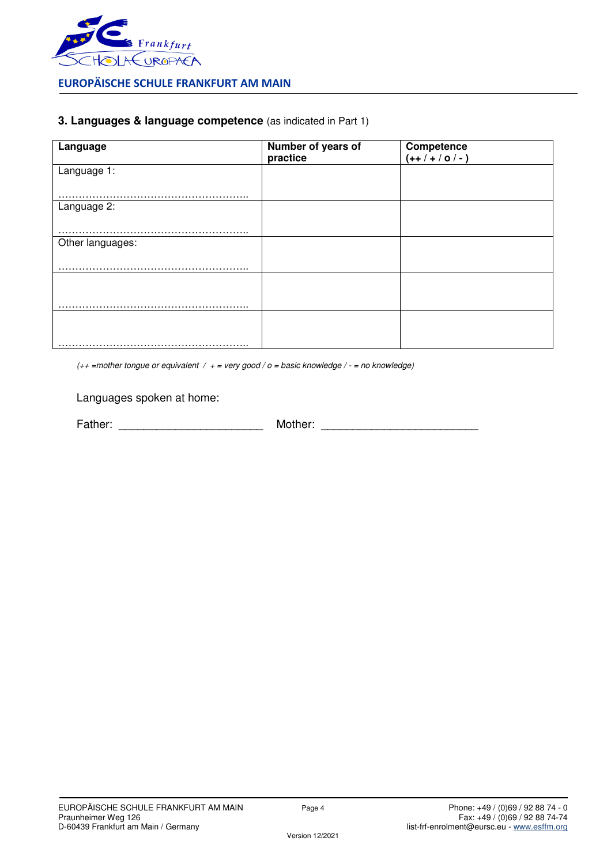

## **3. Languages & language competence** (as indicated in Part 1)

| Language         | Number of years of<br>practice | Competence<br>$(++/-/-)$ |
|------------------|--------------------------------|--------------------------|
| Language 1:      |                                |                          |
|                  |                                |                          |
| Language 2:      |                                |                          |
|                  |                                |                          |
| Other languages: |                                |                          |
|                  |                                |                          |
|                  |                                |                          |
|                  |                                |                          |
|                  |                                |                          |
|                  |                                |                          |
|                  |                                |                          |

 $(++$  =mother tongue or equivalent /  $+$  = very good / o = basic knowledge / - = no knowledge)

### Languages spoken at home:

Father: \_\_\_\_\_\_\_\_\_\_\_\_\_\_\_\_\_\_\_\_\_\_\_ Mother: \_\_\_\_\_\_\_\_\_\_\_\_\_\_\_\_\_\_\_\_\_\_\_\_\_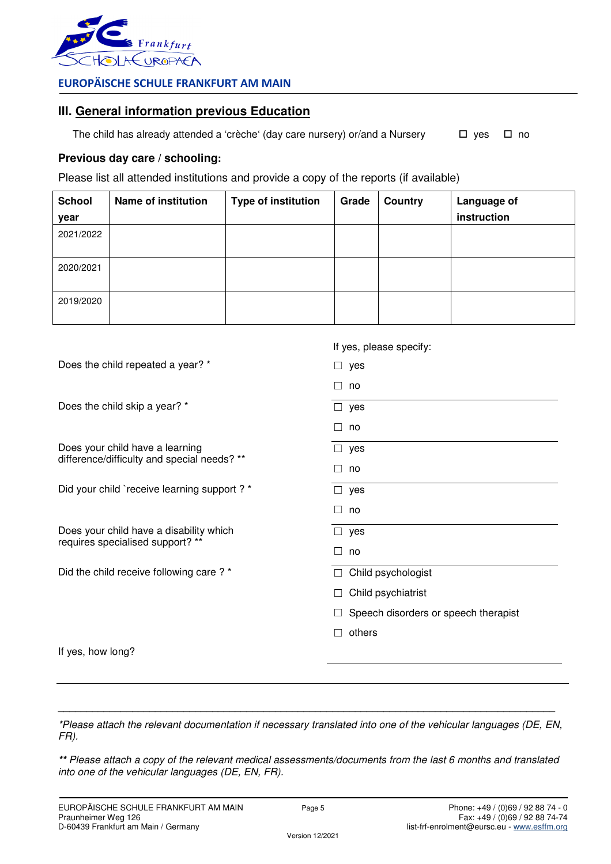

# **III. General information previous Education**

The child has already attended a 'crèche' (day care nursery) or/and a Nursery  $\Box$  yes  $\Box$  no

### **Previous day care / schooling:**

Please list all attended institutions and provide a copy of the reports (if available)

| <b>School</b> | <b>Name of institution</b> | <b>Type of institution</b> | Grade | Country | Language of |
|---------------|----------------------------|----------------------------|-------|---------|-------------|
| year          |                            |                            |       |         | instruction |
| 2021/2022     |                            |                            |       |         |             |
| 2020/2021     |                            |                            |       |         |             |
| 2019/2020     |                            |                            |       |         |             |

|                                              | If yes, please specify:              |
|----------------------------------------------|--------------------------------------|
| Does the child repeated a year? *            | $\Box$ yes                           |
|                                              | $\Box$<br>no                         |
| Does the child skip a year? *                | $\Box$ yes                           |
|                                              | $\Box$<br>no                         |
| Does your child have a learning              | $\Box$ yes                           |
| difference/difficulty and special needs? **  | no                                   |
| Did your child `receive learning support ? * | $\Box$ yes                           |
|                                              | П<br>no                              |
| Does your child have a disability which      | $\Box$ yes                           |
| requires specialised support? **             | $\Box$<br>no                         |
| Did the child receive following care? *      | Child psychologist                   |
|                                              | Child psychiatrist<br>$\Box$         |
|                                              | Speech disorders or speech therapist |
|                                              | others<br>П                          |
| If yes, how long?                            |                                      |
|                                              |                                      |

\*Please attach the relevant documentation if necessary translated into one of the vehicular languages (DE, EN, FR).

\_\_\_\_\_\_\_\_\_\_\_\_\_\_\_\_\_\_\_\_\_\_\_\_\_\_\_\_\_\_\_\_\_\_\_\_\_\_\_\_\_\_\_\_\_\_\_\_\_\_\_\_\_\_\_\_\_\_\_\_\_\_\_\_\_\_\_\_\_\_\_\_\_\_\_\_\_\_\_\_\_\_\_\_\_\_\_

**\*\*** Please attach a copy of the relevant medical assessments/documents from the last 6 months and translated into one of the vehicular languages (DE, EN, FR).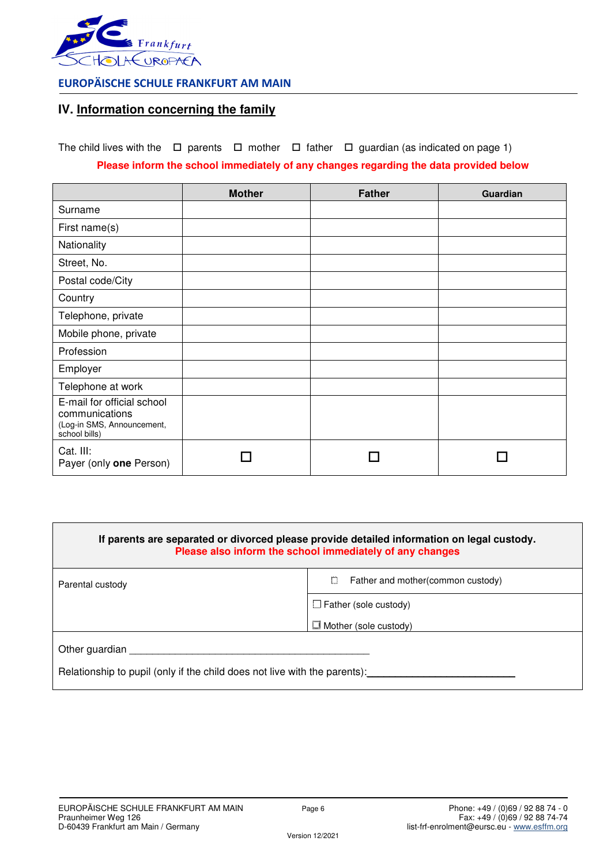

# **IV. Information concerning the family**

The child lives with the  $\Box$  parents  $\Box$  mother  $\Box$  father  $\Box$  guardian (as indicated on page 1) **Please inform the school immediately of any changes regarding the data provided below**

|                                                                                             | <b>Mother</b> | <b>Father</b> | Guardian |
|---------------------------------------------------------------------------------------------|---------------|---------------|----------|
| Surname                                                                                     |               |               |          |
| First name(s)                                                                               |               |               |          |
| Nationality                                                                                 |               |               |          |
| Street, No.                                                                                 |               |               |          |
| Postal code/City                                                                            |               |               |          |
| Country                                                                                     |               |               |          |
| Telephone, private                                                                          |               |               |          |
| Mobile phone, private                                                                       |               |               |          |
| Profession                                                                                  |               |               |          |
| Employer                                                                                    |               |               |          |
| Telephone at work                                                                           |               |               |          |
| E-mail for official school<br>communications<br>(Log-in SMS, Announcement,<br>school bills) |               |               |          |
| Cat. III:<br>Payer (only one Person)                                                        |               |               |          |

| If parents are separated or divorced please provide detailed information on legal custody.<br>Please also inform the school immediately of any changes |  |  |  |
|--------------------------------------------------------------------------------------------------------------------------------------------------------|--|--|--|
| Father and mother (common custody)<br>u                                                                                                                |  |  |  |
| $\Box$ Father (sole custody)                                                                                                                           |  |  |  |
| $\Box$ Mother (sole custody)                                                                                                                           |  |  |  |
| Relationship to pupil (only if the child does not live with the parents):                                                                              |  |  |  |
|                                                                                                                                                        |  |  |  |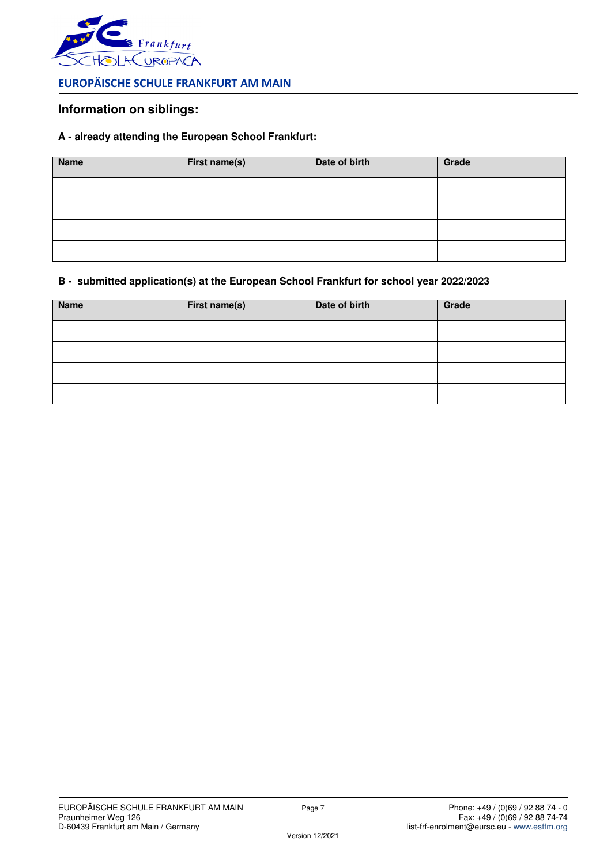

### **Information on siblings:**

#### **A - already attending the European School Frankfurt:**

| <b>Name</b> | First name(s) | Date of birth | Grade |
|-------------|---------------|---------------|-------|
|             |               |               |       |
|             |               |               |       |
|             |               |               |       |
|             |               |               |       |

#### **B - submitted application(s) at the European School Frankfurt for school year 2022/2023**

| <b>Name</b> | First name(s) | Date of birth | Grade |
|-------------|---------------|---------------|-------|
|             |               |               |       |
|             |               |               |       |
|             |               |               |       |
|             |               |               |       |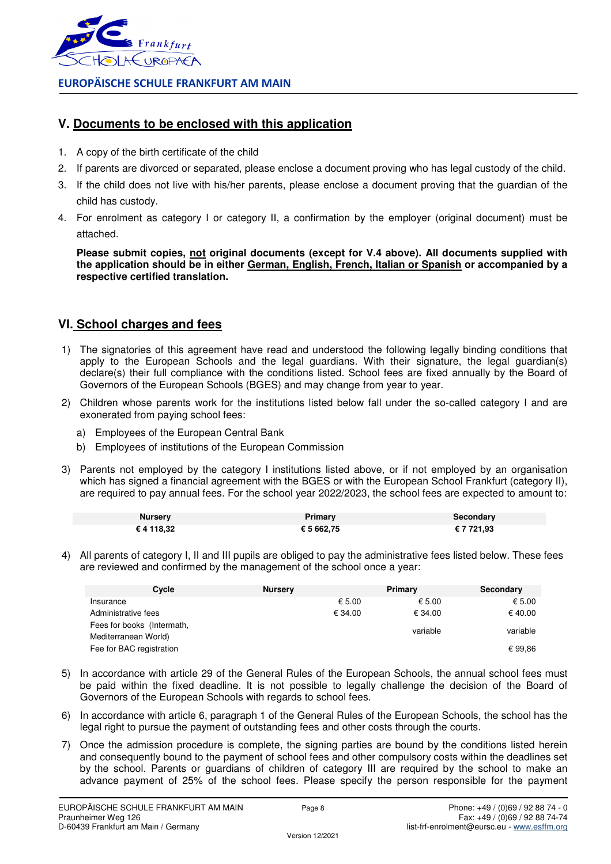

# **V. Documents to be enclosed with this application**

- 1. A copy of the birth certificate of the child
- 2. If parents are divorced or separated, please enclose a document proving who has legal custody of the child.
- 3. If the child does not live with his/her parents, please enclose a document proving that the guardian of the child has custody.
- 4. For enrolment as category I or category II, a confirmation by the employer (original document) must be attached.

**Please submit copies, not original documents (except for V.4 above). All documents supplied with the application should be in either German, English, French, Italian or Spanish or accompanied by a respective certified translation.** 

# **VI. School charges and fees**

- 1) The signatories of this agreement have read and understood the following legally binding conditions that apply to the European Schools and the legal guardians. With their signature, the legal guardian(s) declare(s) their full compliance with the conditions listed. School fees are fixed annually by the Board of Governors of the European Schools (BGES) and may change from year to year.
- 2) Children whose parents work for the institutions listed below fall under the so-called category I and are exonerated from paying school fees:
	- a) Employees of the European Central Bank
	- b) Employees of institutions of the European Commission
- 3) Parents not employed by the category I institutions listed above, or if not employed by an organisation which has signed a financial agreement with the BGES or with the European School Frankfurt (category II), are required to pay annual fees. For the school year 2022/2023, the school fees are expected to amount to:

| <b>Nursery</b> | Primary    | Secondary  |
|----------------|------------|------------|
| € 4 118,32     | € 5 662,75 | € 7 721,93 |

4) All parents of category I, II and III pupils are obliged to pay the administrative fees listed below. These fees are reviewed and confirmed by the management of the school once a year:

| Cycle                      | <b>Nursery</b> | Primary          | Secondary |
|----------------------------|----------------|------------------|-----------|
| Insurance                  |                | € 5.00<br>€ 5.00 | € 5.00    |
| Administrative fees        | € 34.00        | € 34.00          | € 40.00   |
| Fees for books (Intermath, |                | variable         | variable  |
| Mediterranean World)       |                |                  |           |
| Fee for BAC registration   |                |                  | €99.86    |

- 5) In accordance with article 29 of the General Rules of the European Schools, the annual school fees must be paid within the fixed deadline. It is not possible to legally challenge the decision of the Board of Governors of the European Schools with regards to school fees.
- 6) In accordance with article 6, paragraph 1 of the General Rules of the European Schools, the school has the legal right to pursue the payment of outstanding fees and other costs through the courts.
- 7) Once the admission procedure is complete, the signing parties are bound by the conditions listed herein and consequently bound to the payment of school fees and other compulsory costs within the deadlines set by the school. Parents or guardians of children of category III are required by the school to make an advance payment of 25% of the school fees. Please specify the person responsible for the payment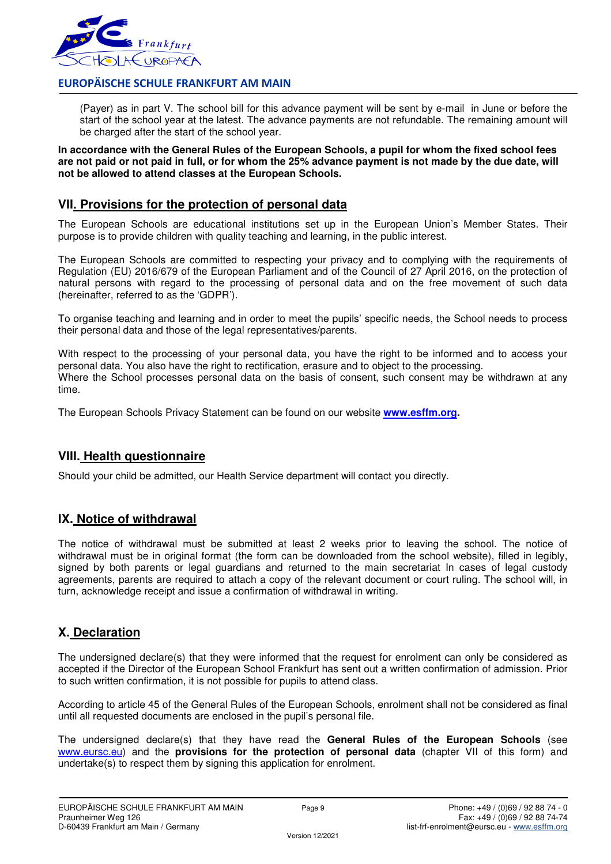

(Payer) as in part V. The school bill for this advance payment will be sent by e-mail in June or before the start of the school year at the latest. The advance payments are not refundable. The remaining amount will be charged after the start of the school year.

**In accordance with the General Rules of the European Schools, a pupil for whom the fixed school fees are not paid or not paid in full, or for whom the 25% advance payment is not made by the due date, will not be allowed to attend classes at the European Schools.**

# **VII. Provisions for the protection of personal data**

The European Schools are educational institutions set up in the European Union's Member States. Their purpose is to provide children with quality teaching and learning, in the public interest.

The European Schools are committed to respecting your privacy and to complying with the requirements of Regulation (EU) 2016/679 of the European Parliament and of the Council of 27 April 2016, on the protection of natural persons with regard to the processing of personal data and on the free movement of such data (hereinafter, referred to as the 'GDPR').

To organise teaching and learning and in order to meet the pupils' specific needs, the School needs to process their personal data and those of the legal representatives/parents.

With respect to the processing of your personal data, you have the right to be informed and to access your personal data. You also have the right to rectification, erasure and to object to the processing. Where the School processes personal data on the basis of consent, such consent may be withdrawn at any time.

The European Schools Privacy Statement can be found on our website **www.esffm.org.**

### **VIII. Health questionnaire**

Should your child be admitted, our Health Service department will contact you directly.

### **IX. Notice of withdrawal**

The notice of withdrawal must be submitted at least 2 weeks prior to leaving the school. The notice of withdrawal must be in original format (the form can be downloaded from the school website), filled in legibly, signed by both parents or legal guardians and returned to the main secretariat In cases of legal custody agreements, parents are required to attach a copy of the relevant document or court ruling. The school will, in turn, acknowledge receipt and issue a confirmation of withdrawal in writing.

# **X. Declaration**

The undersigned declare(s) that they were informed that the request for enrolment can only be considered as accepted if the Director of the European School Frankfurt has sent out a written confirmation of admission. Prior to such written confirmation, it is not possible for pupils to attend class.

According to article 45 of the General Rules of the European Schools, enrolment shall not be considered as final until all requested documents are enclosed in the pupil's personal file.

The undersigned declare(s) that they have read the **General Rules of the European Schools** (see www.eursc.eu) and the **provisions for the protection of personal data** (chapter VII of this form) and undertake(s) to respect them by signing this application for enrolment.